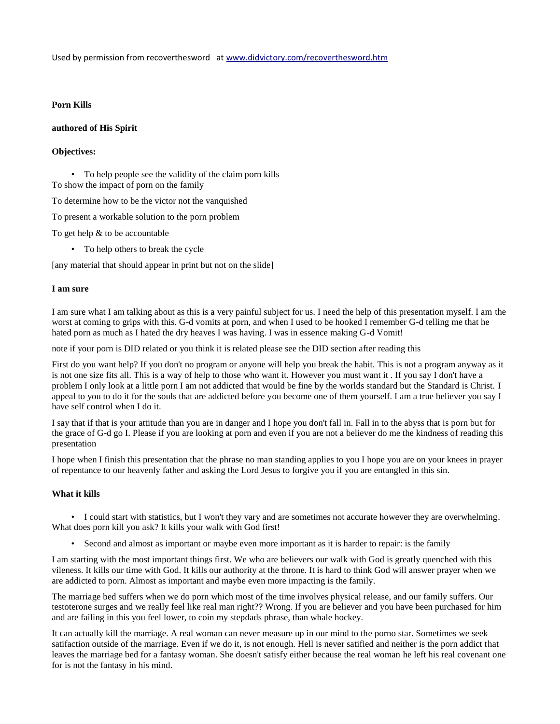Used by permission from recoverthesword at [www.didvictory.com/recoverthesword.htm](http://www.didvictory.com/recoverthesword.htm)

## **Porn Kills**

#### **authored of His Spirit**

## **Objectives:**

• To help people see the validity of the claim porn kills To show the impact of porn on the family

To determine how to be the victor not the vanquished

To present a workable solution to the porn problem

To get help & to be accountable

• To help others to break the cycle

[any material that should appear in print but not on the slide]

#### **I am sure**

I am sure what I am talking about as this is a very painful subject for us. I need the help of this presentation myself. I am the worst at coming to grips with this. G-d vomits at porn, and when I used to be hooked I remember G-d telling me that he hated porn as much as I hated the dry heaves I was having. I was in essence making G-d Vomit!

note if your porn is DID related or you think it is related please see the DID section after reading this

First do you want help? If you don't no program or anyone will help you break the habit. This is not a program anyway as it is not one size fits all. This is a way of help to those who want it. However you must want it . If you say I don't have a problem I only look at a little porn I am not addicted that would be fine by the worlds standard but the Standard is Christ. I appeal to you to do it for the souls that are addicted before you become one of them yourself. I am a true believer you say I have self control when I do it.

I say that if that is your attitude than you are in danger and I hope you don't fall in. Fall in to the abyss that is porn but for the grace of G-d go I. Please if you are looking at porn and even if you are not a believer do me the kindness of reading this presentation

I hope when I finish this presentation that the phrase no man standing applies to you I hope you are on your knees in prayer of repentance to our heavenly father and asking the Lord Jesus to forgive you if you are entangled in this sin.

## **What it kills**

• I could start with statistics, but I won't they vary and are sometimes not accurate however they are overwhelming. What does porn kill you ask? It kills your walk with God first!

• Second and almost as important or maybe even more important as it is harder to repair: is the family

I am starting with the most important things first. We who are believers our walk with God is greatly quenched with this vileness. It kills our time with God. It kills our authority at the throne. It is hard to think God will answer prayer when we are addicted to porn. Almost as important and maybe even more impacting is the family.

The marriage bed suffers when we do porn which most of the time involves physical release, and our family suffers. Our testoterone surges and we really feel like real man right?? Wrong. If you are believer and you have been purchased for him and are failing in this you feel lower, to coin my stepdads phrase, than whale hockey.

It can actually kill the marriage. A real woman can never measure up in our mind to the porno star. Sometimes we seek satifaction outside of the marriage. Even if we do it, is not enough. Hell is never satified and neither is the porn addict that leaves the marriage bed for a fantasy woman. She doesn't satisfy either because the real woman he left his real covenant one for is not the fantasy in his mind.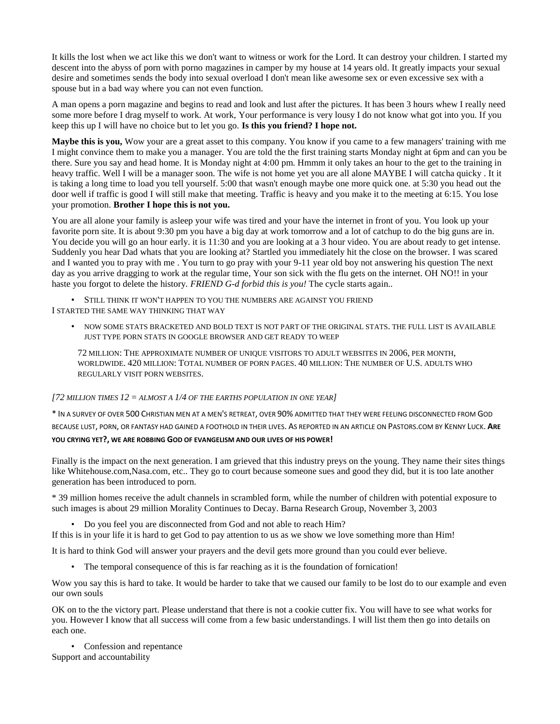It kills the lost when we act like this we don't want to witness or work for the Lord. It can destroy your children. I started my descent into the abyss of porn with porno magazines in camper by my house at 14 years old. It greatly impacts your sexual desire and sometimes sends the body into sexual overload I don't mean like awesome sex or even excessive sex with a spouse but in a bad way where you can not even function.

A man opens a porn magazine and begins to read and look and lust after the pictures. It has been 3 hours whew I really need some more before I drag myself to work. At work, Your performance is very lousy I do not know what got into you. If you keep this up I will have no choice but to let you go. **Is this you friend? I hope not.**

**Maybe this is you,** Wow your are a great asset to this company. You know if you came to a few managers' training with me I might convince them to make you a manager. You are told the the first training starts Monday night at 6pm and can you be there. Sure you say and head home. It is Monday night at 4:00 pm. Hmmm it only takes an hour to the get to the training in heavy traffic. Well I will be a manager soon. The wife is not home yet you are all alone MAYBE I will catcha quicky . It it is taking a long time to load you tell yourself. 5:00 that wasn't enough maybe one more quick one. at 5:30 you head out the door well if traffic is good I will still make that meeting. Traffic is heavy and you make it to the meeting at 6:15. You lose your promotion. **Brother I hope this is not you.**

You are all alone your family is asleep your wife was tired and your have the internet in front of you. You look up your favorite porn site. It is about 9:30 pm you have a big day at work tomorrow and a lot of catchup to do the big guns are in. You decide you will go an hour early. it is 11:30 and you are looking at a 3 hour video. You are about ready to get intense. Suddenly you hear Dad whats that you are looking at? Startled you immediately hit the close on the browser. I was scared and I wanted you to pray with me . You turn to go pray with your 9-11 year old boy not answering his question The next day as you arrive dragging to work at the regular time, Your son sick with the flu gets on the internet. OH NO!! in your haste you forgot to delete the history. *FRIEND G-d forbid this is you!* The cycle starts again..

• STILL THINK IT WON'T HAPPEN TO YOU THE NUMBERS ARE AGAINST YOU FRIEND I STARTED THE SAME WAY THINKING THAT WAY

• NOW SOME STATS BRACKETED AND BOLD TEXT IS NOT PART OF THE ORIGINAL STATS. THE FULL LIST IS AVAILABLE JUST TYPE PORN STATS IN GOOGLE BROWSER AND GET READY TO WEEP

72 MILLION: THE APPROXIMATE NUMBER OF UNIQUE VISITORS TO ADULT WEBSITES IN 2006, PER MONTH, WORLDWIDE. 420 MILLION: TOTAL NUMBER OF PORN PAGES. 40 MILLION: THE NUMBER OF U.S. ADULTS WHO REGULARLY VISIT PORN WEBSITES.

#### *[72 MILLION TIMES 12 = ALMOST A 1/4 OF THE EARTHS POPULATION IN ONE YEAR]*

\* IN A SURVEY OF OVER 500 CHRISTIAN MEN AT A MEN'S RETREAT, OVER 90% ADMITTED THAT THEY WERE FEELING DISCONNECTED FROM GOD BECAUSE LUST, PORN, OR FANTASY HAD GAINED A FOOTHOLD IN THEIR LIVES. AS REPORTED IN AN ARTICLE ON PASTORS.COM BY KENNY LUCK. **ARE YOU CRYING YET?, WE ARE ROBBING GOD OF EVANGELISM AND OUR LIVES OF HIS POWER!**

Finally is the impact on the next generation. I am grieved that this industry preys on the young. They name their sites things like Whitehouse.com,Nasa.com, etc.. They go to court because someone sues and good they did, but it is too late another generation has been introduced to porn.

\* 39 million homes receive the adult channels in scrambled form, while the number of children with potential exposure to such images is about 29 million Morality Continues to Decay. Barna Research Group, November 3, 2003

• Do you feel you are disconnected from God and not able to reach Him?

If this is in your life it is hard to get God to pay attention to us as we show we love something more than Him!

It is hard to think God will answer your prayers and the devil gets more ground than you could ever believe.

• The temporal consequence of this is far reaching as it is the foundation of fornication!

Wow you say this is hard to take. It would be harder to take that we caused our family to be lost do to our example and even our own souls

OK on to the the victory part. Please understand that there is not a cookie cutter fix. You will have to see what works for you. However I know that all success will come from a few basic understandings. I will list them then go into details on each one.

• Confession and repentance Support and accountability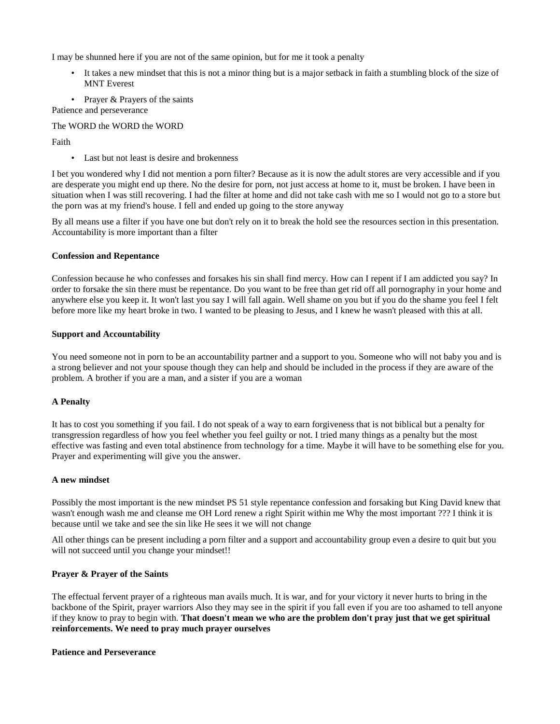I may be shunned here if you are not of the same opinion, but for me it took a penalty

- It takes a new mindset that this is not a minor thing but is a major setback in faith a stumbling block of the size of MNT Everest
- Prayer & Prayers of the saints

Patience and perseverance

The WORD the WORD the WORD

Faith

• Last but not least is desire and brokenness

I bet you wondered why I did not mention a porn filter? Because as it is now the adult stores are very accessible and if you are desperate you might end up there. No the desire for porn, not just access at home to it, must be broken. I have been in situation when I was still recovering. I had the filter at home and did not take cash with me so I would not go to a store but the porn was at my friend's house. I fell and ended up going to the store anyway

By all means use a filter if you have one but don't rely on it to break the hold see the resources section in this presentation. Accountability is more important than a filter

#### **Confession and Repentance**

Confession because he who confesses and forsakes his sin shall find mercy. How can I repent if I am addicted you say? In order to forsake the sin there must be repentance. Do you want to be free than get rid off all pornography in your home and anywhere else you keep it. It won't last you say I will fall again. Well shame on you but if you do the shame you feel I felt before more like my heart broke in two. I wanted to be pleasing to Jesus, and I knew he wasn't pleased with this at all.

## **Support and Accountability**

You need someone not in porn to be an accountability partner and a support to you. Someone who will not baby you and is a strong believer and not your spouse though they can help and should be included in the process if they are aware of the problem. A brother if you are a man, and a sister if you are a woman

# **A Penalty**

It has to cost you something if you fail. I do not speak of a way to earn forgiveness that is not biblical but a penalty for transgression regardless of how you feel whether you feel guilty or not. I tried many things as a penalty but the most effective was fasting and even total abstinence from technology for a time. Maybe it will have to be something else for you. Prayer and experimenting will give you the answer.

#### **A new mindset**

Possibly the most important is the new mindset PS 51 style repentance confession and forsaking but King David knew that wasn't enough wash me and cleanse me OH Lord renew a right Spirit within me Why the most important ??? I think it is because until we take and see the sin like He sees it we will not change

All other things can be present including a porn filter and a support and accountability group even a desire to quit but you will not succeed until you change your mindset!!

# **Prayer & Prayer of the Saints**

The effectual fervent prayer of a righteous man avails much. It is war, and for your victory it never hurts to bring in the backbone of the Spirit, prayer warriors Also they may see in the spirit if you fall even if you are too ashamed to tell anyone if they know to pray to begin with. **That doesn't mean we who are the problem don't pray just that we get spiritual reinforcements. We need to pray much prayer ourselves**

#### **Patience and Perseverance**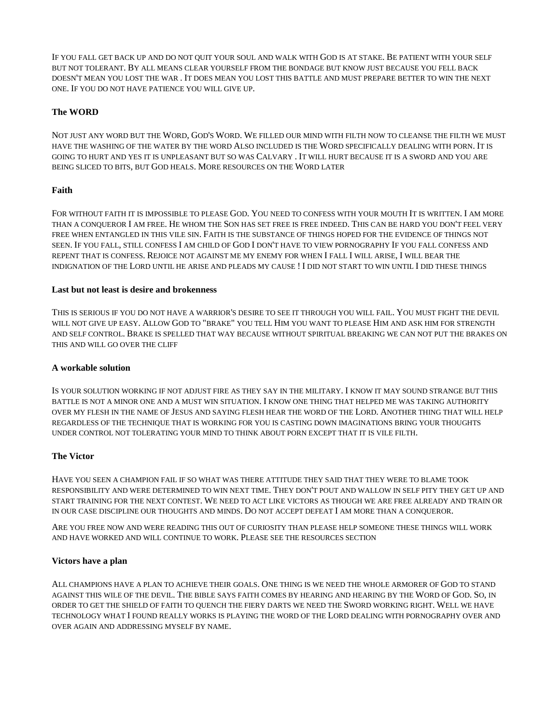IF YOU FALL GET BACK UP AND DO NOT QUIT YOUR SOUL AND WALK WITH GOD IS AT STAKE. BE PATIENT WITH YOUR SELF BUT NOT TOLERANT. BY ALL MEANS CLEAR YOURSELF FROM THE BONDAGE BUT KNOW JUST BECAUSE YOU FELL BACK DOESN'T MEAN YOU LOST THE WAR . IT DOES MEAN YOU LOST THIS BATTLE AND MUST PREPARE BETTER TO WIN THE NEXT ONE. IF YOU DO NOT HAVE PATIENCE YOU WILL GIVE UP.

# **The WORD**

NOT JUST ANY WORD BUT THE WORD, GOD'S WORD. WE FILLED OUR MIND WITH FILTH NOW TO CLEANSE THE FILTH WE MUST HAVE THE WASHING OF THE WATER BY THE WORD ALSO INCLUDED IS THE WORD SPECIFICALLY DEALING WITH PORN. IT IS GOING TO HURT AND YES IT IS UNPLEASANT BUT SO WAS CALVARY . IT WILL HURT BECAUSE IT IS A SWORD AND YOU ARE BEING SLICED TO BITS, BUT GOD HEALS. MORE RESOURCES ON THE WORD LATER

# **Faith**

FOR WITHOUT FAITH IT IS IMPOSSIBLE TO PLEASE GOD. YOU NEED TO CONFESS WITH YOUR MOUTH IT IS WRITTEN. I AM MORE THAN A CONQUEROR I AM FREE. HE WHOM THE SON HAS SET FREE IS FREE INDEED. THIS CAN BE HARD YOU DON'T FEEL VERY FREE WHEN ENTANGLED IN THIS VILE SIN. FAITH IS THE SUBSTANCE OF THINGS HOPED FOR THE EVIDENCE OF THINGS NOT SEEN. IF YOU FALL, STILL CONFESS I AM CHILD OF GOD I DON'T HAVE TO VIEW PORNOGRAPHY IF YOU FALL CONFESS AND REPENT THAT IS CONFESS. REJOICE NOT AGAINST ME MY ENEMY FOR WHEN I FALL I WILL ARISE, I WILL BEAR THE INDIGNATION OF THE LORD UNTIL HE ARISE AND PLEADS MY CAUSE ! I DID NOT START TO WIN UNTIL I DID THESE THINGS

## **Last but not least is desire and brokenness**

THIS IS SERIOUS IF YOU DO NOT HAVE A WARRIOR'S DESIRE TO SEE IT THROUGH YOU WILL FAIL. YOU MUST FIGHT THE DEVIL WILL NOT GIVE UP EASY. ALLOW GOD TO "BRAKE" YOU TELL HIM YOU WANT TO PLEASE HIM AND ASK HIM FOR STRENGTH AND SELF CONTROL. BRAKE IS SPELLED THAT WAY BECAUSE WITHOUT SPIRITUAL BREAKING WE CAN NOT PUT THE BRAKES ON THIS AND WILL GO OVER THE CLIFF

# **A workable solution**

IS YOUR SOLUTION WORKING IF NOT ADJUST FIRE AS THEY SAY IN THE MILITARY. I KNOW IT MAY SOUND STRANGE BUT THIS BATTLE IS NOT A MINOR ONE AND A MUST WIN SITUATION. I KNOW ONE THING THAT HELPED ME WAS TAKING AUTHORITY OVER MY FLESH IN THE NAME OF JESUS AND SAYING FLESH HEAR THE WORD OF THE LORD. ANOTHER THING THAT WILL HELP REGARDLESS OF THE TECHNIQUE THAT IS WORKING FOR YOU IS CASTING DOWN IMAGINATIONS BRING YOUR THOUGHTS UNDER CONTROL NOT TOLERATING YOUR MIND TO THINK ABOUT PORN EXCEPT THAT IT IS VILE FILTH.

# **The Victor**

HAVE YOU SEEN A CHAMPION FAIL IF SO WHAT WAS THERE ATTITUDE THEY SAID THAT THEY WERE TO BLAME TOOK RESPONSIBILITY AND WERE DETERMINED TO WIN NEXT TIME. THEY DON'T POUT AND WALLOW IN SELF PITY THEY GET UP AND START TRAINING FOR THE NEXT CONTEST. WE NEED TO ACT LIKE VICTORS AS THOUGH WE ARE FREE ALREADY AND TRAIN OR IN OUR CASE DISCIPLINE OUR THOUGHTS AND MINDS. DO NOT ACCEPT DEFEAT I AM MORE THAN A CONQUEROR.

ARE YOU FREE NOW AND WERE READING THIS OUT OF CURIOSITY THAN PLEASE HELP SOMEONE THESE THINGS WILL WORK AND HAVE WORKED AND WILL CONTINUE TO WORK. PLEASE SEE THE RESOURCES SECTION

# **Victors have a plan**

ALL CHAMPIONS HAVE A PLAN TO ACHIEVE THEIR GOALS. ONE THING IS WE NEED THE WHOLE ARMORER OF GOD TO STAND AGAINST THIS WILE OF THE DEVIL. THE BIBLE SAYS FAITH COMES BY HEARING AND HEARING BY THE WORD OF GOD. SO, IN ORDER TO GET THE SHIELD OF FAITH TO QUENCH THE FIERY DARTS WE NEED THE SWORD WORKING RIGHT. WELL WE HAVE TECHNOLOGY WHAT I FOUND REALLY WORKS IS PLAYING THE WORD OF THE LORD DEALING WITH PORNOGRAPHY OVER AND OVER AGAIN AND ADDRESSING MYSELF BY NAME.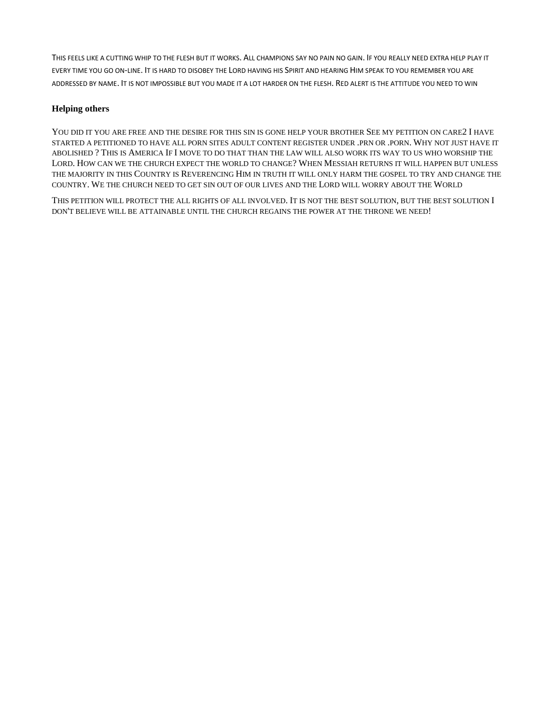THIS FEELS LIKE A CUTTING WHIP TO THE FLESH BUT IT WORKS. ALL CHAMPIONS SAY NO PAIN NO GAIN. IF YOU REALLY NEED EXTRA HELP PLAY IT EVERY TIME YOU GO ON-LINE. IT IS HARD TO DISOBEY THE LORD HAVING HIS SPIRIT AND HEARING HIM SPEAK TO YOU REMEMBER YOU ARE ADDRESSED BY NAME. IT IS NOT IMPOSSIBLE BUT YOU MADE IT A LOT HARDER ON THE FLESH. RED ALERT IS THE ATTITUDE YOU NEED TO WIN

# **Helping others**

YOU DID IT YOU ARE FREE AND THE DESIRE FOR THIS SIN IS GONE HELP YOUR BROTHER SEE MY PETITION ON CARE2 I HAVE STARTED A PETITIONED TO HAVE ALL PORN SITES ADULT CONTENT REGISTER UNDER .PRN OR .PORN. WHY NOT JUST HAVE IT ABOLISHED ? THIS IS AMERICA IF I MOVE TO DO THAT THAN THE LAW WILL ALSO WORK ITS WAY TO US WHO WORSHIP THE LORD. HOW CAN WE THE CHURCH EXPECT THE WORLD TO CHANGE? WHEN MESSIAH RETURNS IT WILL HAPPEN BUT UNLESS THE MAJORITY IN THIS COUNTRY IS REVERENCING HIM IN TRUTH IT WILL ONLY HARM THE GOSPEL TO TRY AND CHANGE THE COUNTRY. WE THE CHURCH NEED TO GET SIN OUT OF OUR LIVES AND THE LORD WILL WORRY ABOUT THE WORLD

THIS PETITION WILL PROTECT THE ALL RIGHTS OF ALL INVOLVED. IT IS NOT THE BEST SOLUTION, BUT THE BEST SOLUTION I DON'T BELIEVE WILL BE ATTAINABLE UNTIL THE CHURCH REGAINS THE POWER AT THE THRONE WE NEED!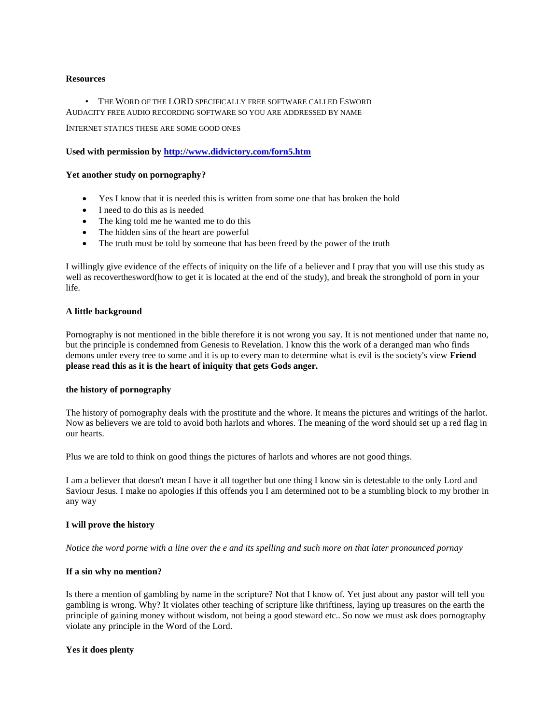#### **Resources**

• THE WORD OF THE LORD SPECIFICALLY FREE SOFTWARE CALLED ESWORD AUDACITY FREE AUDIO RECORDING SOFTWARE SO YOU ARE ADDRESSED BY NAME

INTERNET STATICS THESE ARE SOME GOOD ONES

**Used with permission by<http://www.didvictory.com/forn5.htm>**

#### **Yet another study on pornography?**

- Yes I know that it is needed this is written from some one that has broken the hold
- I need to do this as is needed
- The king told me he wanted me to do this
- The hidden sins of the heart are powerful
- The truth must be told by someone that has been freed by the power of the truth

I willingly give evidence of the effects of iniquity on the life of a believer and I pray that you will use this study as well as recoverthesword(how to get it is located at the end of the study), and break the stronghold of porn in your life.

#### **A little background**

Pornography is not mentioned in the bible therefore it is not wrong you say. It is not mentioned under that name no, but the principle is condemned from Genesis to Revelation. I know this the work of a deranged man who finds demons under every tree to some and it is up to every man to determine what is evil is the society's view **Friend please read this as it is the heart of iniquity that gets Gods anger.**

## **the history of pornography**

The history of pornography deals with the prostitute and the whore. It means the pictures and writings of the harlot. Now as believers we are told to avoid both harlots and whores. The meaning of the word should set up a red flag in our hearts.

Plus we are told to think on good things the pictures of harlots and whores are not good things.

I am a believer that doesn't mean I have it all together but one thing I know sin is detestable to the only Lord and Saviour Jesus. I make no apologies if this offends you I am determined not to be a stumbling block to my brother in any way

#### **I will prove the history**

*Notice the word porne with a line over the e and its spelling and such more on that later pronounced pornay*

#### **If a sin why no mention?**

Is there a mention of gambling by name in the scripture? Not that I know of. Yet just about any pastor will tell you gambling is wrong. Why? It violates other teaching of scripture like thriftiness, laying up treasures on the earth the principle of gaining money without wisdom, not being a good steward etc.. So now we must ask does pornography violate any principle in the Word of the Lord.

#### **Yes it does plenty**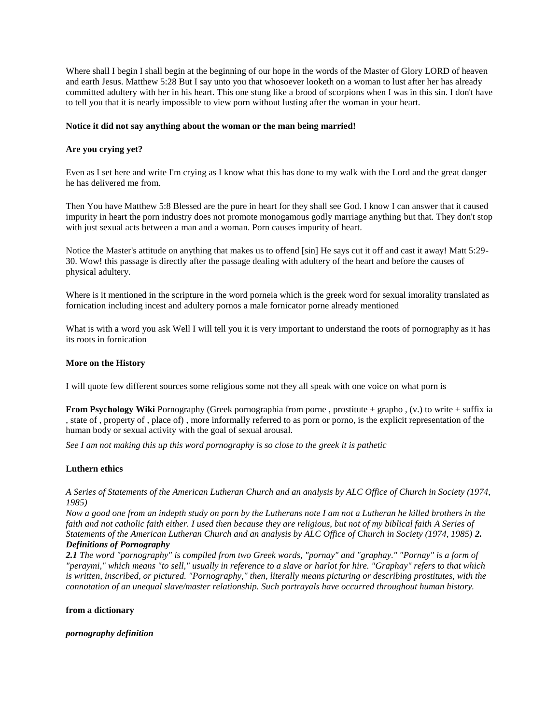Where shall I begin I shall begin at the beginning of our hope in the words of the Master of Glory LORD of heaven and earth Jesus. Matthew 5:28 But I say unto you that whosoever looketh on a woman to lust after her has already committed adultery with her in his heart. This one stung like a brood of scorpions when I was in this sin. I don't have to tell you that it is nearly impossible to view porn without lusting after the woman in your heart.

### **Notice it did not say anything about the woman or the man being married!**

## **Are you crying yet?**

Even as I set here and write I'm crying as I know what this has done to my walk with the Lord and the great danger he has delivered me from.

Then You have Matthew 5:8 Blessed are the pure in heart for they shall see God. I know I can answer that it caused impurity in heart the porn industry does not promote monogamous godly marriage anything but that. They don't stop with just sexual acts between a man and a woman. Porn causes impurity of heart.

Notice the Master's attitude on anything that makes us to offend [sin] He says cut it off and cast it away! Matt 5:29- 30. Wow! this passage is directly after the passage dealing with adultery of the heart and before the causes of physical adultery.

Where is it mentioned in the scripture in the word porneia which is the greek word for sexual imorality translated as fornication including incest and adultery pornos a male fornicator porne already mentioned

What is with a word you ask Well I will tell you it is very important to understand the roots of pornography as it has its roots in fornication

### **More on the History**

I will quote few different sources some religious some not they all speak with one voice on what porn is

**From Psychology Wiki** Pornography (Greek pornographia from porne , prostitute + grapho , (v.) to write + suffix ia , state of , property of , place of) , more informally referred to as porn or porno, is the explicit representation of the human body or sexual activity with the goal of sexual arousal.

*See I am not making this up this word pornography is so close to the greek it is pathetic*

#### **Luthern ethics**

*A Series of Statements of the American Lutheran Church and an analysis by ALC Office of Church in Society (1974, 1985)*

*Now a good one from an indepth study on porn by the Lutherans note I am not a Lutheran he killed brothers in the faith and not catholic faith either. I used then because they are religious, but not of my biblical faith A Series of Statements of the American Lutheran Church and an analysis by ALC Office of Church in Society (1974, 1985) 2. Definitions of Pornography*

*2.1 The word "pornography" is compiled from two Greek words, "pornay" and "graphay." "Pornay" is a form of "peraymi," which means "to sell," usually in reference to a slave or harlot for hire. "Graphay" refers to that which is written, inscribed, or pictured. "Pornography," then, literally means picturing or describing prostitutes, with the connotation of an unequal slave/master relationship. Such portrayals have occurred throughout human history.*

#### **from a dictionary**

*pornography definition*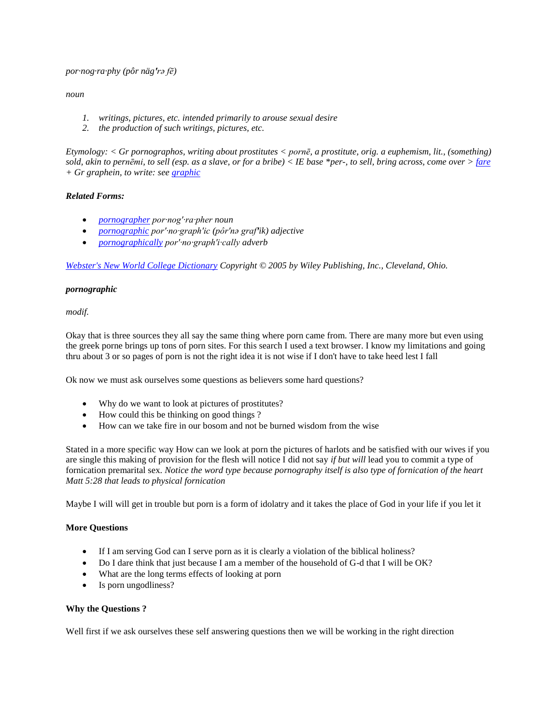*por·nog·ra·phy (pôr näg′rə fē)*

## *noun*

- *1. writings, pictures, etc. intended primarily to arouse sexual desire*
- *2. the production of such writings, pictures, etc.*

*Etymology: < Gr pornographos, writing about prostitutes < pornē, a prostitute, orig. a euphemism, lit., (something) sold, akin to pernēmi, to sell (esp. as a slave, or for a bribe) < IE base \*per-, to sell, bring across, come over > [fare](http://www.didvictory.com/fare) + Gr graphein, to write: see [graphic](http://www.didvictory.com/graphic)*

# *Related Forms:*

- *[pornographer](http://www.didvictory.com/pornographer) por·nog′·ra·pher noun*
- *[pornographic](http://www.didvictory.com/pornographic) por′·no·graph′ic (pôr′nə graf′ik) adjective*
- *[pornographically](http://www.didvictory.com/pornographically) por′·no·graph′i·cally adverb*

*[Webster's New World College Dictionary](http://www.amazon.com/gp/product/0764571257?ie=UTF8&tag=lovetoknow-20&linkCode=as2&camp=1789&creative=9325&creativeASIN=0764571257) Copyright © 2005 by Wiley Publishing, Inc., Cleveland, Ohio.* 

# *pornographic*

*modif.* 

Okay that is three sources they all say the same thing where porn came from. There are many more but even using the greek porne brings up tons of porn sites. For this search I used a text browser. I know my limitations and going thru about 3 or so pages of porn is not the right idea it is not wise if I don't have to take heed lest I fall

Ok now we must ask ourselves some questions as believers some hard questions?

- Why do we want to look at pictures of prostitutes?
- How could this be thinking on good things ?
- How can we take fire in our bosom and not be burned wisdom from the wise

Stated in a more specific way How can we look at porn the pictures of harlots and be satisfied with our wives if you are single this making of provision for the flesh will notice I did not say *if but will* lead you to commit a type of fornication premarital sex. *Notice the word type because pornography itself is also type of fornication of the heart Matt 5:28 that leads to physical fornication*

Maybe I will will get in trouble but porn is a form of idolatry and it takes the place of God in your life if you let it

# **More Questions**

- If I am serving God can I serve porn as it is clearly a violation of the biblical holiness?
- Do I dare think that just because I am a member of the household of G-d that I will be OK?
- What are the long terms effects of looking at porn
- Is porn ungodliness?

# **Why the Questions ?**

Well first if we ask ourselves these self answering questions then we will be working in the right direction